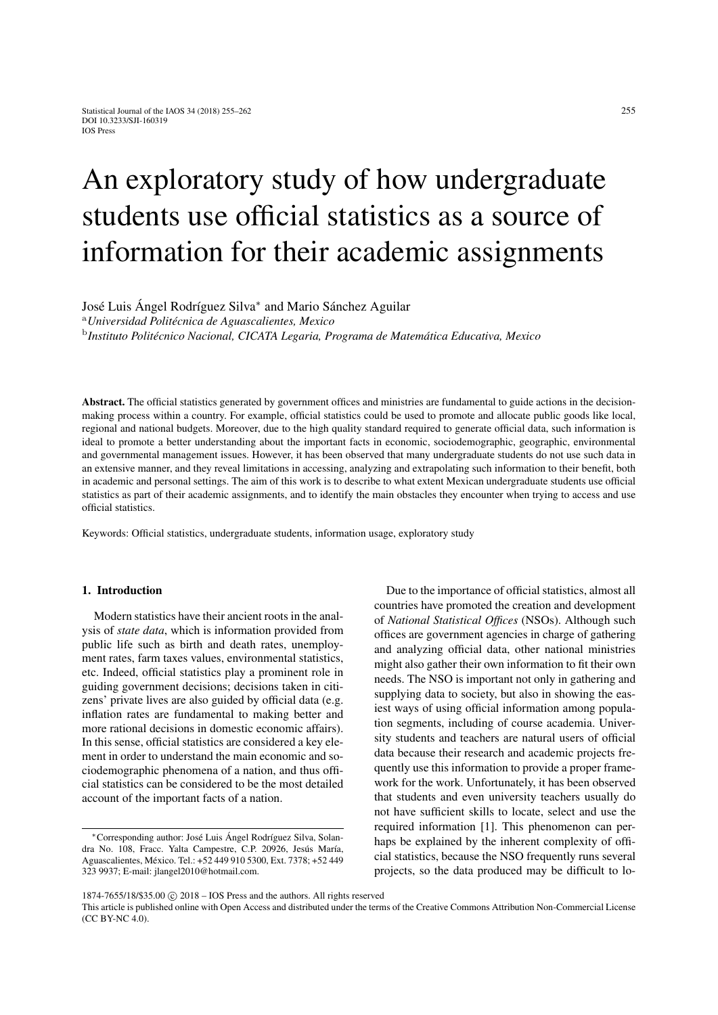# An exploratory study of how undergraduate students use official statistics as a source of information for their academic assignments

José Luis Ángel Rodríguez Silva<sup>∗</sup> and Mario Sánchez Aguilar

<sup>a</sup>*Universidad Politécnica de Aguascalientes, Mexico*

b *Instituto Politécnico Nacional, CICATA Legaria, Programa de Matemática Educativa, Mexico*

Abstract. The official statistics generated by government offices and ministries are fundamental to guide actions in the decisionmaking process within a country. For example, official statistics could be used to promote and allocate public goods like local, regional and national budgets. Moreover, due to the high quality standard required to generate official data, such information is ideal to promote a better understanding about the important facts in economic, sociodemographic, geographic, environmental and governmental management issues. However, it has been observed that many undergraduate students do not use such data in an extensive manner, and they reveal limitations in accessing, analyzing and extrapolating such information to their benefit, both in academic and personal settings. The aim of this work is to describe to what extent Mexican undergraduate students use official statistics as part of their academic assignments, and to identify the main obstacles they encounter when trying to access and use official statistics.

Keywords: Official statistics, undergraduate students, information usage, exploratory study

# 1. Introduction

Modern statistics have their ancient roots in the analysis of *state data*, which is information provided from public life such as birth and death rates, unemployment rates, farm taxes values, environmental statistics, etc. Indeed, official statistics play a prominent role in guiding government decisions; decisions taken in citizens' private lives are also guided by official data (e.g. inflation rates are fundamental to making better and more rational decisions in domestic economic affairs). In this sense, official statistics are considered a key element in order to understand the main economic and sociodemographic phenomena of a nation, and thus official statistics can be considered to be the most detailed account of the important facts of a nation.

Due to the importance of official statistics, almost all countries have promoted the creation and development of *National Statistical Offices* (NSOs). Although such offices are government agencies in charge of gathering and analyzing official data, other national ministries might also gather their own information to fit their own needs. The NSO is important not only in gathering and supplying data to society, but also in showing the easiest ways of using official information among population segments, including of course academia. University students and teachers are natural users of official data because their research and academic projects frequently use this information to provide a proper framework for the work. Unfortunately, it has been observed that students and even university teachers usually do not have sufficient skills to locate, select and use the required information [\[1\]](#page-5-0). This phenomenon can perhaps be explained by the inherent complexity of official statistics, because the NSO frequently runs several projects, so the data produced may be difficult to lo-

<sup>∗</sup>Corresponding author: José Luis Ángel Rodríguez Silva, Solandra No. 108, Fracc. Yalta Campestre, C.P. 20926, Jesús María, Aguascalientes, México. Tel.: +52 449 910 5300, Ext. 7378; +52 449 323 9937; E-mail: jlangel2010@hotmail.com.

<sup>1874-7655/18/\$35.00 © 2018 -</sup> IOS Press and the authors. All rights reserved

This article is published online with Open Access and distributed under the terms of the Creative Commons Attribution Non-Commercial License (CC BY-NC 4.0).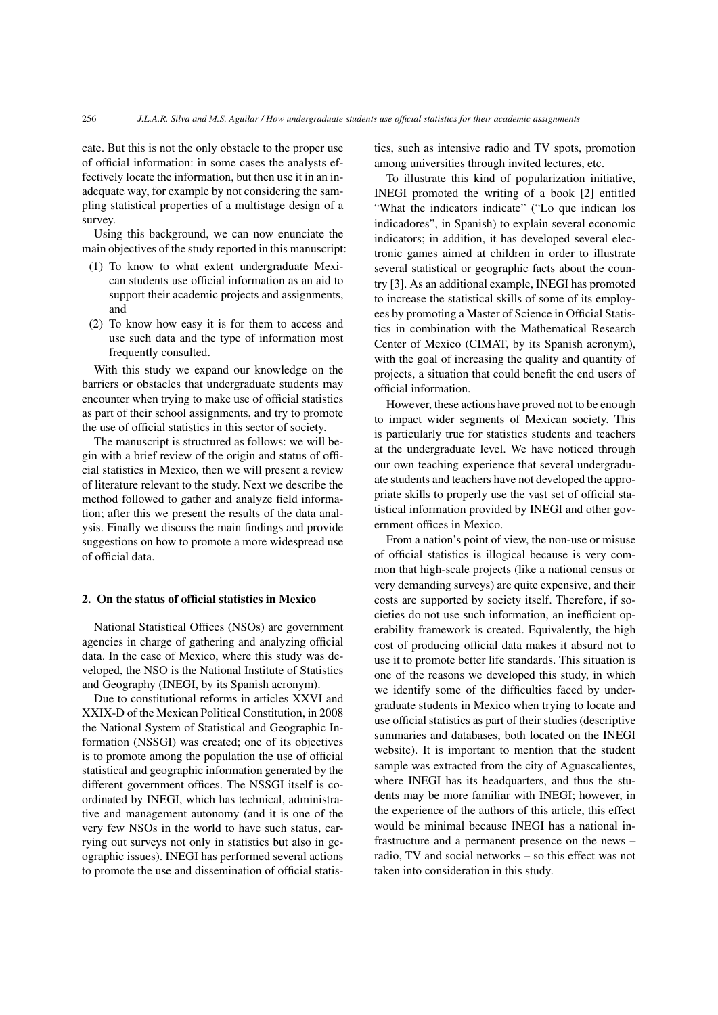cate. But this is not the only obstacle to the proper use of official information: in some cases the analysts effectively locate the information, but then use it in an inadequate way, for example by not considering the sampling statistical properties of a multistage design of a survey.

Using this background, we can now enunciate the main objectives of the study reported in this manuscript:

- (1) To know to what extent undergraduate Mexican students use official information as an aid to support their academic projects and assignments, and
- (2) To know how easy it is for them to access and use such data and the type of information most frequently consulted.

With this study we expand our knowledge on the barriers or obstacles that undergraduate students may encounter when trying to make use of official statistics as part of their school assignments, and try to promote the use of official statistics in this sector of society.

The manuscript is structured as follows: we will begin with a brief review of the origin and status of official statistics in Mexico, then we will present a review of literature relevant to the study. Next we describe the method followed to gather and analyze field information; after this we present the results of the data analysis. Finally we discuss the main findings and provide suggestions on how to promote a more widespread use of official data.

### 2. On the status of official statistics in Mexico

National Statistical Offices (NSOs) are government agencies in charge of gathering and analyzing official data. In the case of Mexico, where this study was developed, the NSO is the National Institute of Statistics and Geography (INEGI, by its Spanish acronym).

Due to constitutional reforms in articles XXVI and XXIX-D of the Mexican Political Constitution, in 2008 the National System of Statistical and Geographic Information (NSSGI) was created; one of its objectives is to promote among the population the use of official statistical and geographic information generated by the different government offices. The NSSGI itself is coordinated by INEGI, which has technical, administrative and management autonomy (and it is one of the very few NSOs in the world to have such status, carrying out surveys not only in statistics but also in geographic issues). INEGI has performed several actions to promote the use and dissemination of official statistics, such as intensive radio and TV spots, promotion among universities through invited lectures, etc.

To illustrate this kind of popularization initiative, INEGI promoted the writing of a book [\[2\]](#page-5-1) entitled "What the indicators indicate" ("Lo que indican los indicadores", in Spanish) to explain several economic indicators; in addition, it has developed several electronic games aimed at children in order to illustrate several statistical or geographic facts about the country [\[3\]](#page-5-2). As an additional example, INEGI has promoted to increase the statistical skills of some of its employees by promoting a Master of Science in Official Statistics in combination with the Mathematical Research Center of Mexico (CIMAT, by its Spanish acronym), with the goal of increasing the quality and quantity of projects, a situation that could benefit the end users of official information.

However, these actions have proved not to be enough to impact wider segments of Mexican society. This is particularly true for statistics students and teachers at the undergraduate level. We have noticed through our own teaching experience that several undergraduate students and teachers have not developed the appropriate skills to properly use the vast set of official statistical information provided by INEGI and other government offices in Mexico.

From a nation's point of view, the non-use or misuse of official statistics is illogical because is very common that high-scale projects (like a national census or very demanding surveys) are quite expensive, and their costs are supported by society itself. Therefore, if societies do not use such information, an inefficient operability framework is created. Equivalently, the high cost of producing official data makes it absurd not to use it to promote better life standards. This situation is one of the reasons we developed this study, in which we identify some of the difficulties faced by undergraduate students in Mexico when trying to locate and use official statistics as part of their studies (descriptive summaries and databases, both located on the INEGI website). It is important to mention that the student sample was extracted from the city of Aguascalientes, where INEGI has its headquarters, and thus the students may be more familiar with INEGI; however, in the experience of the authors of this article, this effect would be minimal because INEGI has a national infrastructure and a permanent presence on the news – radio, TV and social networks – so this effect was not taken into consideration in this study.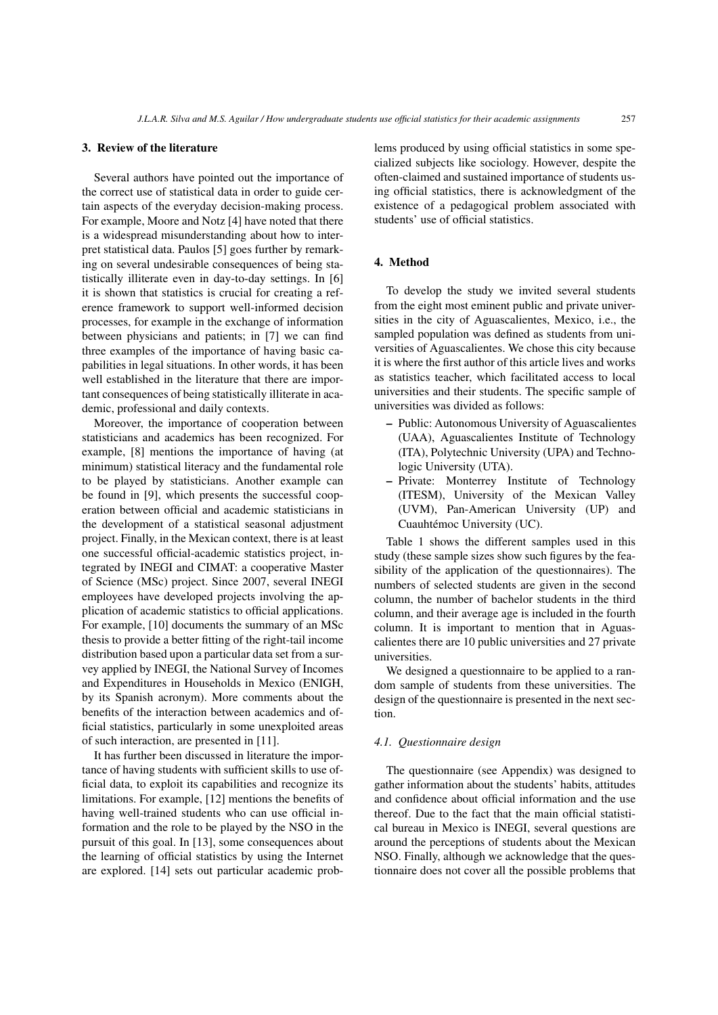#### 3. Review of the literature

Several authors have pointed out the importance of the correct use of statistical data in order to guide certain aspects of the everyday decision-making process. For example, Moore and Notz [\[4\]](#page-5-3) have noted that there is a widespread misunderstanding about how to interpret statistical data. Paulos [\[5\]](#page-5-4) goes further by remarking on several undesirable consequences of being statistically illiterate even in day-to-day settings. In [\[6\]](#page-5-5) it is shown that statistics is crucial for creating a reference framework to support well-informed decision processes, for example in the exchange of information between physicians and patients; in [\[7\]](#page-5-6) we can find three examples of the importance of having basic capabilities in legal situations. In other words, it has been well established in the literature that there are important consequences of being statistically illiterate in academic, professional and daily contexts.

Moreover, the importance of cooperation between statisticians and academics has been recognized. For example, [\[8\]](#page-5-7) mentions the importance of having (at minimum) statistical literacy and the fundamental role to be played by statisticians. Another example can be found in [\[9\]](#page-5-8), which presents the successful cooperation between official and academic statisticians in the development of a statistical seasonal adjustment project. Finally, in the Mexican context, there is at least one successful official-academic statistics project, integrated by INEGI and CIMAT: a cooperative Master of Science (MSc) project. Since 2007, several INEGI employees have developed projects involving the application of academic statistics to official applications. For example, [\[10\]](#page-6-0) documents the summary of an MSc thesis to provide a better fitting of the right-tail income distribution based upon a particular data set from a survey applied by INEGI, the National Survey of Incomes and Expenditures in Households in Mexico (ENIGH, by its Spanish acronym). More comments about the benefits of the interaction between academics and official statistics, particularly in some unexploited areas of such interaction, are presented in [\[11\]](#page-6-1).

It has further been discussed in literature the importance of having students with sufficient skills to use official data, to exploit its capabilities and recognize its limitations. For example, [\[12\]](#page-6-2) mentions the benefits of having well-trained students who can use official information and the role to be played by the NSO in the pursuit of this goal. In [\[13\]](#page-6-3), some consequences about the learning of official statistics by using the Internet are explored. [\[14\]](#page-6-4) sets out particular academic problems produced by using official statistics in some specialized subjects like sociology. However, despite the often-claimed and sustained importance of students using official statistics, there is acknowledgment of the existence of a pedagogical problem associated with students' use of official statistics.

#### 4. Method

To develop the study we invited several students from the eight most eminent public and private universities in the city of Aguascalientes, Mexico, i.e., the sampled population was defined as students from universities of Aguascalientes. We chose this city because it is where the first author of this article lives and works as statistics teacher, which facilitated access to local universities and their students. The specific sample of universities was divided as follows:

- Public: Autonomous University of Aguascalientes (UAA), Aguascalientes Institute of Technology (ITA), Polytechnic University (UPA) and Technologic University (UTA).
- Private: Monterrey Institute of Technology (ITESM), University of the Mexican Valley (UVM), Pan-American University (UP) and Cuauhtémoc University (UC).

Table [1](#page-3-0) shows the different samples used in this study (these sample sizes show such figures by the feasibility of the application of the questionnaires). The numbers of selected students are given in the second column, the number of bachelor students in the third column, and their average age is included in the fourth column. It is important to mention that in Aguascalientes there are 10 public universities and 27 private universities.

We designed a questionnaire to be applied to a random sample of students from these universities. The design of the questionnaire is presented in the next section.

#### *4.1. Questionnaire design*

The questionnaire (see Appendix) was designed to gather information about the students' habits, attitudes and confidence about official information and the use thereof. Due to the fact that the main official statistical bureau in Mexico is INEGI, several questions are around the perceptions of students about the Mexican NSO. Finally, although we acknowledge that the questionnaire does not cover all the possible problems that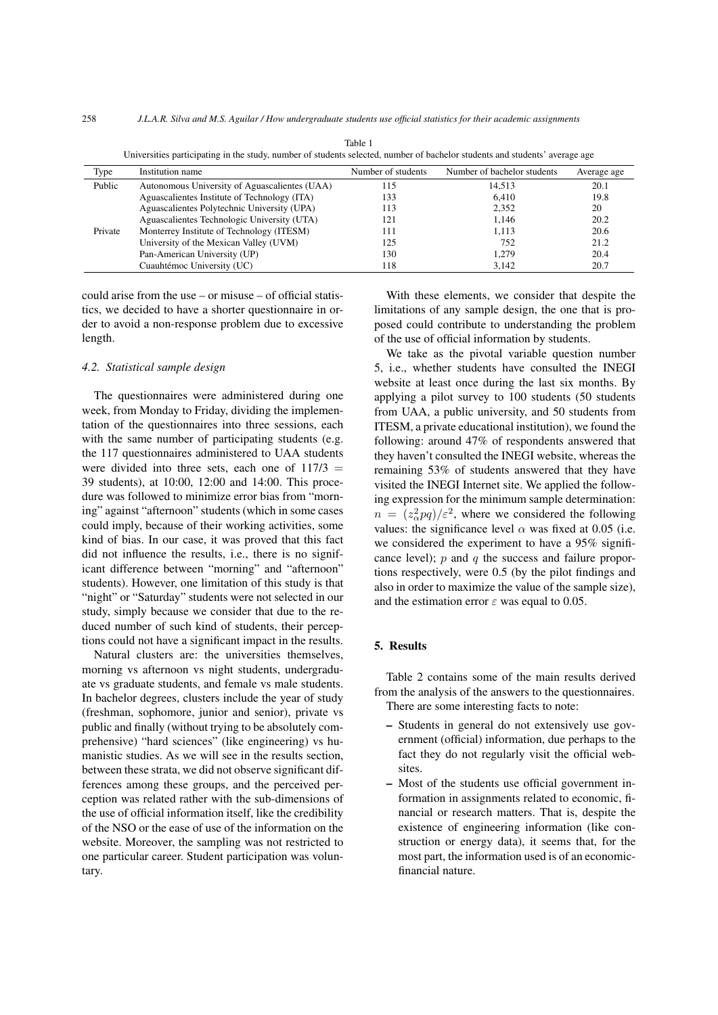258 *J.L.A.R. Silva and M.S. Aguilar / How undergraduate students use official statistics for their academic assignments*

<span id="page-3-0"></span>

| Type    | Institution name                              | Number of students | Number of bachelor students | Average age |  |
|---------|-----------------------------------------------|--------------------|-----------------------------|-------------|--|
| Public  | Autonomous University of Aguascalientes (UAA) | 115                | 14.513                      | 20.1        |  |
|         | Aguascalientes Institute of Technology (ITA)  | 133                | 6.410                       | 19.8        |  |
|         | Aguascalientes Polytechnic University (UPA)   | 113                | 2,352                       | 20          |  |
|         | Aguascalientes Technologic University (UTA)   | 121                | 1.146                       | 20.2        |  |
| Private | Monterrey Institute of Technology (ITESM)     | 111                | 1.113                       | 20.6        |  |
|         | University of the Mexican Valley (UVM)        | 125                | 752                         | 21.2        |  |
|         | Pan-American University (UP)                  | 130                | 1.279                       | 20.4        |  |
|         | Cuauhtémoc University (UC)                    | 118                | 3.142                       | 20.7        |  |

Table 1 Universities participating in the study, number of students selected, number of bachelor students and students' average age

could arise from the use – or misuse – of official statistics, we decided to have a shorter questionnaire in order to avoid a non-response problem due to excessive length.

#### *4.2. Statistical sample design*

The questionnaires were administered during one week, from Monday to Friday, dividing the implementation of the questionnaires into three sessions, each with the same number of participating students (e.g. the 117 questionnaires administered to UAA students were divided into three sets, each one of  $117/3 =$ 39 students), at 10:00, 12:00 and 14:00. This procedure was followed to minimize error bias from "morning" against "afternoon" students (which in some cases could imply, because of their working activities, some kind of bias. In our case, it was proved that this fact did not influence the results, i.e., there is no significant difference between "morning" and "afternoon" students). However, one limitation of this study is that "night" or "Saturday" students were not selected in our study, simply because we consider that due to the reduced number of such kind of students, their perceptions could not have a significant impact in the results.

Natural clusters are: the universities themselves, morning vs afternoon vs night students, undergraduate vs graduate students, and female vs male students. In bachelor degrees, clusters include the year of study (freshman, sophomore, junior and senior), private vs public and finally (without trying to be absolutely comprehensive) "hard sciences" (like engineering) vs humanistic studies. As we will see in the results section, between these strata, we did not observe significant differences among these groups, and the perceived perception was related rather with the sub-dimensions of the use of official information itself, like the credibility of the NSO or the ease of use of the information on the website. Moreover, the sampling was not restricted to one particular career. Student participation was voluntary.

With these elements, we consider that despite the limitations of any sample design, the one that is proposed could contribute to understanding the problem of the use of official information by students.

We take as the pivotal variable question number 5, i.e., whether students have consulted the INEGI website at least once during the last six months. By applying a pilot survey to 100 students (50 students from UAA, a public university, and 50 students from ITESM, a private educational institution), we found the following: around 47% of respondents answered that they haven't consulted the INEGI website, whereas the remaining 53% of students answered that they have visited the INEGI Internet site. We applied the following expression for the minimum sample determination:  $n = (z_\alpha^2 pq)/\varepsilon^2$ , where we considered the following values: the significance level  $\alpha$  was fixed at 0.05 (i.e. we considered the experiment to have a 95% significance level);  $p$  and  $q$  the success and failure proportions respectively, were 0.5 (by the pilot findings and also in order to maximize the value of the sample size), and the estimation error  $\varepsilon$  was equal to 0.05.

#### 5. Results

Table [2](#page-4-0) contains some of the main results derived from the analysis of the answers to the questionnaires. There are some interesting facts to note:

- Students in general do not extensively use government (official) information, due perhaps to the fact they do not regularly visit the official websites.
- Most of the students use official government information in assignments related to economic, financial or research matters. That is, despite the existence of engineering information (like construction or energy data), it seems that, for the most part, the information used is of an economicfinancial nature.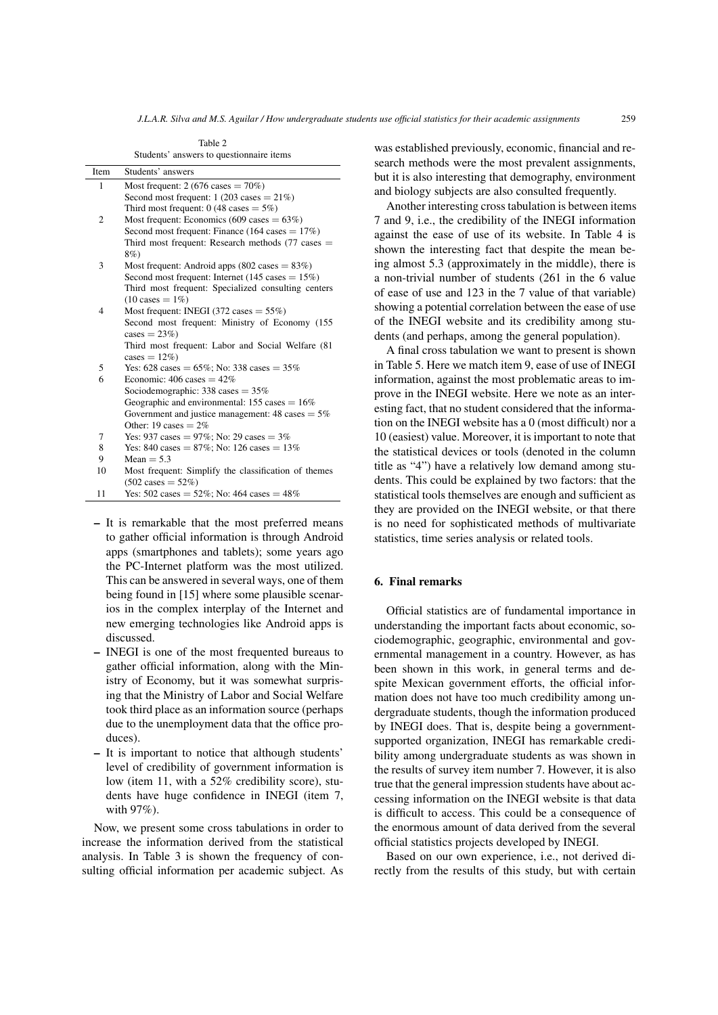Table 2 Students' answers to questionnaire items

<span id="page-4-0"></span>

| Item | Students' answers                                                |  |  |  |  |  |
|------|------------------------------------------------------------------|--|--|--|--|--|
| 1    | Most frequent: $2(676 \text{ cases} = 70\%)$                     |  |  |  |  |  |
|      | Second most frequent: $1(203 \text{ cases} = 21\%)$              |  |  |  |  |  |
|      | Third most frequent: 0 (48 cases $= 5\%$ )                       |  |  |  |  |  |
| 2    | Most frequent: Economics (609 cases $= 63\%$ )                   |  |  |  |  |  |
|      | Second most frequent: Finance (164 cases $= 17\%$ )              |  |  |  |  |  |
|      | Third most frequent: Research methods $(77 \text{ cases} =$      |  |  |  |  |  |
|      | 8%)                                                              |  |  |  |  |  |
| 3    | Most frequent: Android apps $(802 \text{ cases} = 83\%)$         |  |  |  |  |  |
|      | Second most frequent: Internet (145 cases $= 15\%$ )             |  |  |  |  |  |
|      | Third most frequent: Specialized consulting centers              |  |  |  |  |  |
|      | $(10 \text{ cases} = 1\%)$                                       |  |  |  |  |  |
| 4    | Most frequent: INEGI (372 cases $= 55\%)$                        |  |  |  |  |  |
|      | Second most frequent: Ministry of Economy (155                   |  |  |  |  |  |
|      | $cases = 23\%)$                                                  |  |  |  |  |  |
|      | Third most frequent: Labor and Social Welfare (81)               |  |  |  |  |  |
|      | cases = $12\%$ )                                                 |  |  |  |  |  |
| 5    | Yes: $628 \text{ cases} = 65\%$ ; No: 338 cases = 35%            |  |  |  |  |  |
| 6    | Economic: $406$ cases $= 42\%$                                   |  |  |  |  |  |
|      | Sociodemographic: 338 cases = $35\%$                             |  |  |  |  |  |
|      | Geographic and environmental: 155 cases = $16\%$                 |  |  |  |  |  |
|      | Government and justice management: $48 \text{ cases} = 5\%$      |  |  |  |  |  |
|      | Other: 19 cases $= 2\%$                                          |  |  |  |  |  |
| 7    | Yes: 937 cases = $97\%$ ; No: 29 cases = $3\%$                   |  |  |  |  |  |
| 8    | Yes: 840 cases = $87\%$ ; No: 126 cases = $13\%$                 |  |  |  |  |  |
| 9    | $Mean = 5.3$                                                     |  |  |  |  |  |
| 10   | Most frequent: Simplify the classification of themes             |  |  |  |  |  |
|      | $(502 \text{ cases} = 52\%)$                                     |  |  |  |  |  |
| 11   | Yes: $502 \text{ cases} = 52\%$ ; No: $464 \text{ cases} = 48\%$ |  |  |  |  |  |

- It is remarkable that the most preferred means to gather official information is through Android apps (smartphones and tablets); some years ago the PC-Internet platform was the most utilized. This can be answered in several ways, one of them being found in [\[15\]](#page-6-5) where some plausible scenarios in the complex interplay of the Internet and new emerging technologies like Android apps is discussed.
- INEGI is one of the most frequented bureaus to gather official information, along with the Ministry of Economy, but it was somewhat surprising that the Ministry of Labor and Social Welfare took third place as an information source (perhaps due to the unemployment data that the office produces).
- It is important to notice that although students' level of credibility of government information is low (item 11, with a 52% credibility score), students have huge confidence in INEGI (item 7, with 97%).

Now, we present some cross tabulations in order to increase the information derived from the statistical analysis. In Table [3](#page-5-9) is shown the frequency of consulting official information per academic subject. As

was established previously, economic, financial and research methods were the most prevalent assignments, but it is also interesting that demography, environment and biology subjects are also consulted frequently.

Another interesting cross tabulation is between items 7 and 9, i.e., the credibility of the INEGI information against the ease of use of its website. In Table [4](#page-5-10) is shown the interesting fact that despite the mean being almost 5.3 (approximately in the middle), there is a non-trivial number of students (261 in the 6 value of ease of use and 123 in the 7 value of that variable) showing a potential correlation between the ease of use of the INEGI website and its credibility among students (and perhaps, among the general population).

A final cross tabulation we want to present is shown in Table [5.](#page-5-11) Here we match item 9, ease of use of INEGI information, against the most problematic areas to improve in the INEGI website. Here we note as an interesting fact, that no student considered that the information on the INEGI website has a 0 (most difficult) nor a 10 (easiest) value. Moreover, it is important to note that the statistical devices or tools (denoted in the column title as "4") have a relatively low demand among students. This could be explained by two factors: that the statistical tools themselves are enough and sufficient as they are provided on the INEGI website, or that there is no need for sophisticated methods of multivariate statistics, time series analysis or related tools.

### 6. Final remarks

Official statistics are of fundamental importance in understanding the important facts about economic, sociodemographic, geographic, environmental and governmental management in a country. However, as has been shown in this work, in general terms and despite Mexican government efforts, the official information does not have too much credibility among undergraduate students, though the information produced by INEGI does. That is, despite being a governmentsupported organization, INEGI has remarkable credibility among undergraduate students as was shown in the results of survey item number 7. However, it is also true that the general impression students have about accessing information on the INEGI website is that data is difficult to access. This could be a consequence of the enormous amount of data derived from the several official statistics projects developed by INEGI.

Based on our own experience, i.e., not derived directly from the results of this study, but with certain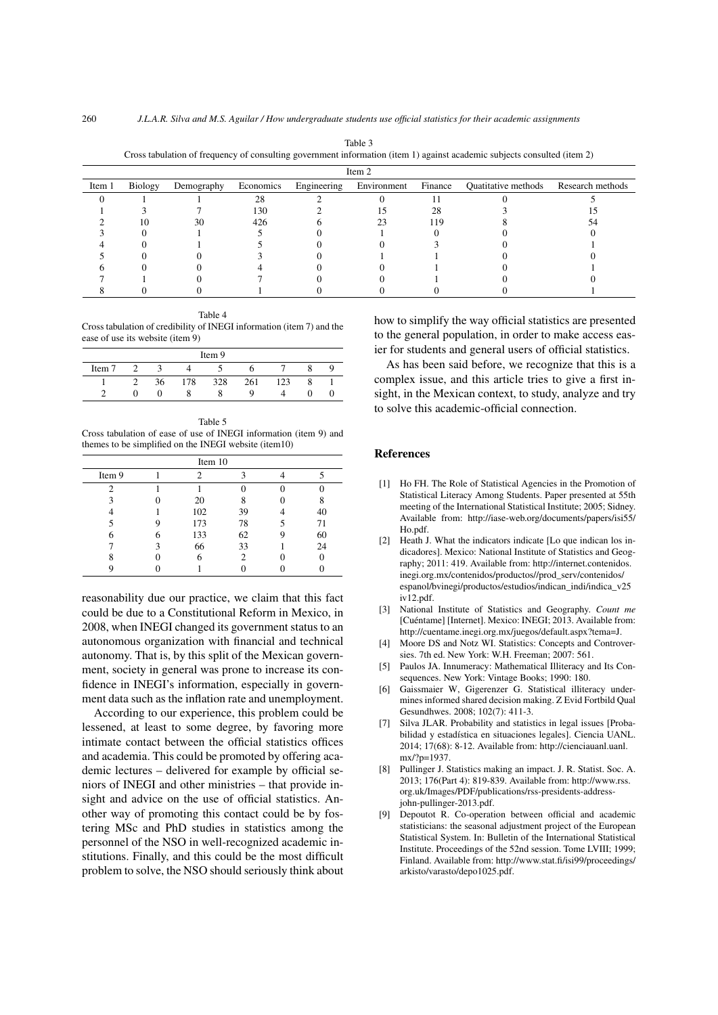<span id="page-5-9"></span>

| Item 2 |         |            |           |             |             |         |                     |                  |
|--------|---------|------------|-----------|-------------|-------------|---------|---------------------|------------------|
| Item 1 | Biology | Demography | Economics | Engineering | Environment | Finance | Quatitative methods | Research methods |
|        |         |            | 28        |             |             |         |                     |                  |
|        |         |            | 130       |             |             | 28      |                     |                  |
|        | 10      | 30         | 426       |             |             | 119     |                     |                  |
|        |         |            |           |             |             |         |                     |                  |
|        |         |            |           |             |             |         |                     |                  |
|        |         |            |           |             |             |         |                     |                  |
|        |         |            |           |             |             |         |                     |                  |
|        |         |            |           |             |             |         |                     |                  |
|        |         |            |           |             |             |         |                     |                  |

Table 3 Cross tabulation of frequency of consulting government information (item 1) against academic subjects consulted (item 2)

<span id="page-5-10"></span>Table 4 Cross tabulation of credibility of INEGI information (item 7) and the ease of use its website (item 9)

| Item 9 |  |    |     |     |     |     |  |  |
|--------|--|----|-----|-----|-----|-----|--|--|
| Item 7 |  |    |     |     |     |     |  |  |
|        |  | 36 | 178 | 328 | 261 | '23 |  |  |
|        |  |    |     |     | Q   |     |  |  |

<span id="page-5-11"></span>Table 5 Cross tabulation of ease of use of INEGI information (item 9) and themes to be simplified on the INEGI website (item10)

| Item 10 |  |     |                |  |    |  |  |  |
|---------|--|-----|----------------|--|----|--|--|--|
| Item 9  |  |     | 3              |  |    |  |  |  |
| 2       |  |     |                |  |    |  |  |  |
| 3       |  | 20  |                |  |    |  |  |  |
|         |  | 102 | 39             |  | 40 |  |  |  |
|         |  | 173 | 78             |  | 71 |  |  |  |
| 6       |  | 133 | 62             |  | 60 |  |  |  |
|         |  | 66  | 33             |  | 24 |  |  |  |
|         |  |     | $\mathfrak{D}$ |  |    |  |  |  |
|         |  |     |                |  |    |  |  |  |

reasonability due our practice, we claim that this fact could be due to a Constitutional Reform in Mexico, in 2008, when INEGI changed its government status to an autonomous organization with financial and technical autonomy. That is, by this split of the Mexican government, society in general was prone to increase its confidence in INEGI's information, especially in government data such as the inflation rate and unemployment.

According to our experience, this problem could be lessened, at least to some degree, by favoring more intimate contact between the official statistics offices and academia. This could be promoted by offering academic lectures – delivered for example by official seniors of INEGI and other ministries – that provide insight and advice on the use of official statistics. Another way of promoting this contact could be by fostering MSc and PhD studies in statistics among the personnel of the NSO in well-recognized academic institutions. Finally, and this could be the most difficult problem to solve, the NSO should seriously think about how to simplify the way official statistics are presented to the general population, in order to make access easier for students and general users of official statistics.

As has been said before, we recognize that this is a complex issue, and this article tries to give a first insight, in the Mexican context, to study, analyze and try to solve this academic-official connection.

#### References

- <span id="page-5-0"></span>[1] Ho FH. The Role of Statistical Agencies in the Promotion of Statistical Literacy Among Students. Paper presented at 55th meeting of the International Statistical Institute; 2005; Sidney. Available from: http://iase-web.org/documents/papers/isi55/ Ho.pdf.
- <span id="page-5-1"></span>[2] Heath J. What the indicators indicate [Lo que indican los indicadores]. Mexico: National Institute of Statistics and Geography; 2011: 419. Available from: http://internet.contenidos. inegi.org.mx/contenidos/productos//prod\_serv/contenidos/ espanol/bvinegi/productos/estudios/indican\_indi/indica\_v25 iv12.pdf.
- <span id="page-5-2"></span>[3] National Institute of Statistics and Geography. *Count me* [Cuéntame] [Internet]. Mexico: INEGI; 2013. Available from: http://cuentame.inegi.org.mx/juegos/default.aspx?tema=J.
- <span id="page-5-3"></span>[4] Moore DS and Notz WI. Statistics: Concepts and Controversies. 7th ed. New York: W.H. Freeman; 2007: 561.
- <span id="page-5-4"></span>[5] Paulos JA. Innumeracy: Mathematical Illiteracy and Its Consequences. New York: Vintage Books; 1990: 180.
- <span id="page-5-5"></span>[6] Gaissmaier W, Gigerenzer G. Statistical illiteracy undermines informed shared decision making. Z Evid Fortbild Qual Gesundhwes. 2008; 102(7): 411-3.
- <span id="page-5-6"></span>[7] Silva JLAR. Probability and statistics in legal issues [Probabilidad y estadística en situaciones legales]. Ciencia UANL. 2014; 17(68): 8-12. Available from: http://cienciauanl.uanl. mx/?p=1937.
- <span id="page-5-7"></span>[8] Pullinger J. Statistics making an impact. J. R. Statist. Soc. A. 2013; 176(Part 4): 819-839. Available from: http://www.rss. org.uk/Images/PDF/publications/rss-presidents-addressjohn-pullinger-2013.pdf.
- <span id="page-5-8"></span>[9] Depoutot R. Co-operation between official and academic statisticians: the seasonal adjustment project of the European Statistical System. In: Bulletin of the International Statistical Institute. Proceedings of the 52nd session. Tome LVIII; 1999; Finland. Available from: http://www.stat.fi/isi99/proceedings/ arkisto/varasto/depo1025.pdf.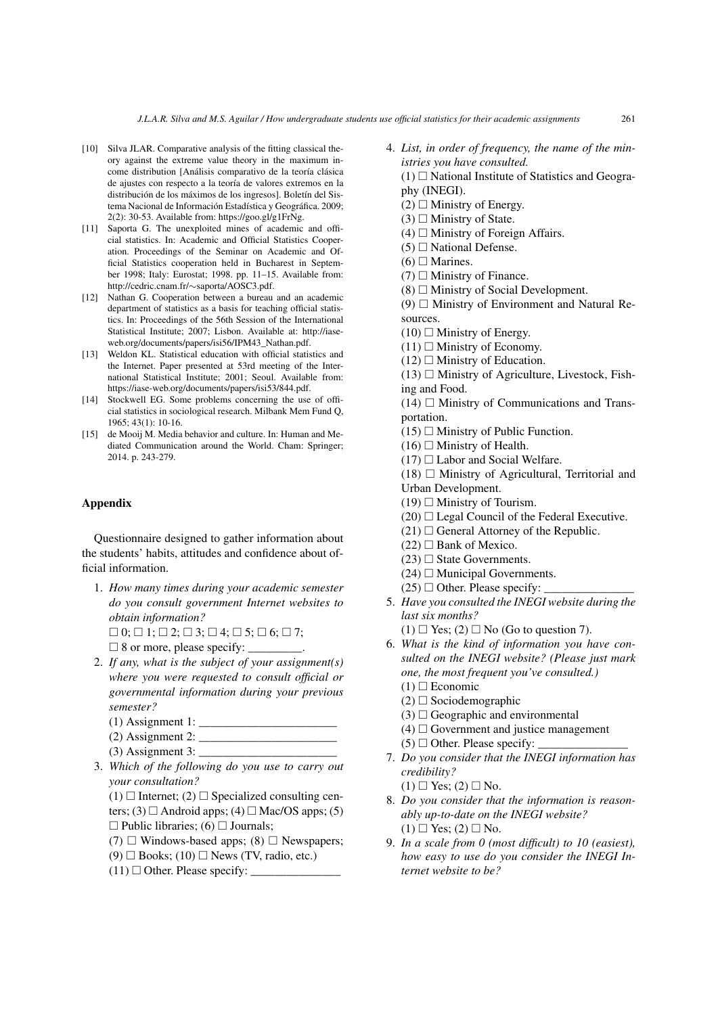- <span id="page-6-0"></span>[10] Silva JLAR. Comparative analysis of the fitting classical theory against the extreme value theory in the maximum income distribution [Análisis comparativo de la teoría clásica de ajustes con respecto a la teoría de valores extremos en la distribución de los máximos de los ingresos]. Boletín del Sistema Nacional de Información Estadística y Geográfica. 2009; 2(2): 30-53. Available from: https://goo.gl/g1FrNg.
- <span id="page-6-1"></span>[11] Saporta G. The unexploited mines of academic and official statistics. In: Academic and Official Statistics Cooperation. Proceedings of the Seminar on Academic and Official Statistics cooperation held in Bucharest in September 1998; Italy: Eurostat; 1998. pp. 11–15. Available from: http://cedric.cnam.fr/∼saporta/AOSC3.pdf.
- <span id="page-6-2"></span>[12] Nathan G. Cooperation between a bureau and an academic department of statistics as a basis for teaching official statistics. In: Proceedings of the 56th Session of the International Statistical Institute; 2007; Lisbon. Available at: http://iaseweb.org/documents/papers/isi56/IPM43\_Nathan.pdf.
- <span id="page-6-3"></span>[13] Weldon KL. Statistical education with official statistics and the Internet. Paper presented at 53rd meeting of the International Statistical Institute; 2001; Seoul. Available from: https://iase-web.org/documents/papers/isi53/844.pdf.
- <span id="page-6-4"></span>[14] Stockwell EG. Some problems concerning the use of official statistics in sociological research. Milbank Mem Fund Q,  $1965:43(1):10-16$ .
- <span id="page-6-5"></span>[15] de Mooij M. Media behavior and culture. In: Human and Mediated Communication around the World. Cham: Springer; 2014. p. 243-279.

## Appendix

Questionnaire designed to gather information about the students' habits, attitudes and confidence about official information.

1. *How many times during your academic semester do you consult government Internet websites to obtain information?*

 $\Box$  0;  $\Box$  1;  $\Box$  2;  $\Box$  3;  $\Box$  4;  $\Box$  5;  $\Box$  6;  $\Box$  7;

- $\Box$  8 or more, please specify:  $\Box$
- 2. *If any, what is the subject of your assignment(s) where you were requested to consult official or governmental information during your previous semester?*
	- $(1)$  Assignment 1:
	- $(2)$  Assignment 2:
	- $(3)$  Assignment 3:
- 3. *Which of the following do you use to carry out your consultation?*

 $(1)$   $\Box$  Internet;  $(2)$   $\Box$  Specialized consulting centers; (3)  $\Box$  Android apps; (4)  $\Box$  Mac/OS apps; (5)  $\Box$  Public libraries; (6)  $\Box$  Journals;

- (7)  $\Box$  Windows-based apps; (8)  $\Box$  Newspapers;
- (9)  $\Box$  Books; (10)  $\Box$  News (TV, radio, etc.)
- (11) Other. Please specify: \_\_\_\_\_\_\_\_\_\_\_\_\_\_\_

4. *List, in order of frequency, the name of the ministries you have consulted.*

 $(1)$   $\Box$  National Institute of Statistics and Geography (INEGI).

- $(2)$  Ministry of Energy.
- $(3)$   $\Box$  Ministry of State.
- $(4)$   $\Box$  Ministry of Foreign Affairs.
- $(5)$   $\Box$  National Defense.
- $(6)$   $\Box$  Marines.
- $(7)$   $\Box$  Ministry of Finance.
- $(8)$   $\Box$  Ministry of Social Development.

(9)  $\Box$  Ministry of Environment and Natural Resources.

- $(10)$   $\Box$  Ministry of Energy.
- $(11)$   $\Box$  Ministry of Economy.
- $(12)$   $\Box$  Ministry of Education.
- $(13)$   $\Box$  Ministry of Agriculture, Livestock, Fishing and Food.
- $(14)$   $\Box$  Ministry of Communications and Transportation.
- $(15)$   $\Box$  Ministry of Public Function.
- $(16)$   $\Box$  Ministry of Health.
- $(17)$   $\square$  Labor and Social Welfare.
- $(18)$   $\Box$  Ministry of Agricultural, Territorial and
- Urban Development.
- $(19)$   $\Box$  Ministry of Tourism.
- $(20)$   $\Box$  Legal Council of the Federal Executive.
- $(21)$   $\Box$  General Attorney of the Republic.
- $(22)$   $\Box$  Bank of Mexico.
- $(23)$   $\Box$  State Governments.
- $(24)$   $\Box$  Municipal Governments.
- $(25)$   $\Box$  Other. Please specify:
- 5. *Have you consulted the INEGI website during the last six months?*
	- $(1) \Box Y$ es;  $(2) \Box No$  (Go to question 7).
- 6. *What is the kind of information you have consulted on the INEGI website? (Please just mark one, the most frequent you've consulted.)*
	- $(1)$   $\square$  Economic
	- $(2)$   $\square$  Sociodemographic
	- $(3)$   $\Box$  Geographic and environmental
	- $(4)$   $\Box$  Government and justice management
	- (5)  $\Box$  Other. Please specify:
- 7. *Do you consider that the INEGI information has credibility?*
	- $(1) \square$  Yes;  $(2) \square$  No.
- 8. *Do you consider that the information is reasonably up-to-date on the INEGI website?*  $(1) \square$  Yes;  $(2) \square$  No.
- 9. *In a scale from 0 (most difficult) to 10 (easiest), how easy to use do you consider the INEGI Internet website to be?*